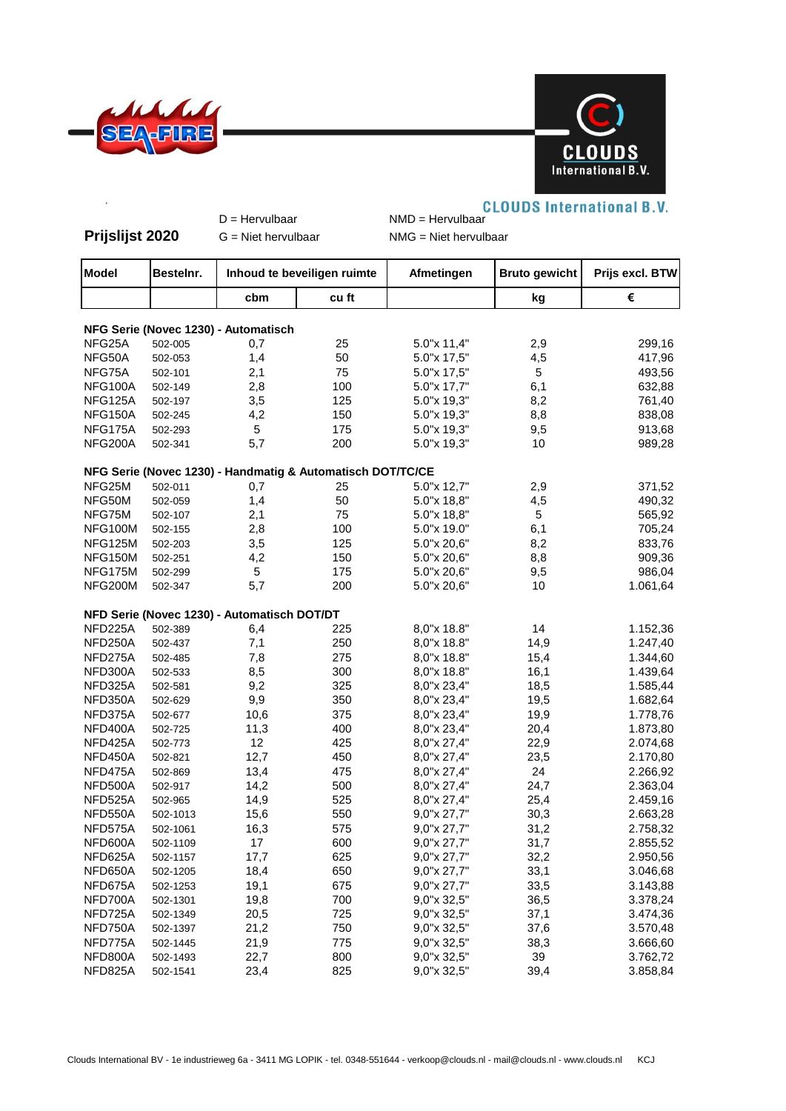



## **CLOUDS International B.V.** D = Hervulbaar NMD = Hervulbaar **Prijslijst 2020** G = Niet hervulbaar NMG = Niet hervulbaar **Model |Bestelnr. | Inhoud te beveiligen ruimte** | Afmetingen | Bruto gewicht | Prijs excl. BTW **cbm cu ft kg € NFG Serie (Novec 1230) - Automatisch** NFG25A 502-005 0,7 25 5.0"x 11,4" 2,9 299,16 NFG50A 502-053 1,4 50 5.0"x 17,5" 4,5 417,96 NFG75A 502-101 2,1 75 5.0"x 17,5" 5 493,56 NFG100A 502-149 2,8 100 5.0"x 17,7" 6,1 632,88 NFG125A 502-197 3,5 125 5.0"x 19,3" 8,2 761,40 NFG150A 502-245 4,2 150 5.0"x 19,3" 8,8 838,08 NFG175A 502-293 5 175 5.0"x 19,3" 9,5 913,68 NFG200A 502-341 5,7 200 5.0"x 19,3" 10 989,28 **NFG Serie (Novec 1230) - Handmatig & Automatisch DOT/TC/CE** NFG25M 502-011 0,7 25 5.0"x 12,7" 2,9 371,52 NFG50M 502-059 1,4 50 5.0"x 18,8" 4,5 490,32 NFG75M 502-107 2,1 75 5.0"x 18,8" 5 5.0 565,92 NFG100M 502-155 2,8 100 5.0"x 19.0" 6,1 705,24 NFG125M 502-203 3,5 125 5.0"x 20,6" 8,2 833,76 NFG150M 502-251 4,2 150 5.0"x 20,6" 8,8 909,36 NFG175M 502-299 5 175 5.0"x 20,6" 9,5 986,04 NFG200M 502-347 5,7 200 5.0"x 20,6" 10 1.061,64 **NFD Serie (Novec 1230) - Automatisch DOT/DT** NFD225A 502-389 6,4 225 8,0"x 18.8" 14 1.152,36 NFD250A 502-437 7,1 250 8,0"x 18.8" 14,9 1.247,40 NFD275A 502-485 7,8 275 8,0"x 18.8" 15,4 1.344,60 NFD300A 502-533 8,5 300 8,0"x 18.8" 16,1 1.439,64 NFD325A 502-581 9,2 325 8,0"x 23,4" 18,5 1.585,44 NFD350A 502-629 9,9 350 8,0"x 23,4" 19,5 1.682,64 NFD375A 502-677 10,6 375 8,0"x 23,4" 19,9 1.778,76 NFD400A 502-725 11,3 400 8,0"x 23,4" 20,4 1.873,80 NFD425A 502-773 12 425 8,0"x 27,4" 22,9 2.074,68 NFD450A 502-821 12,7 450 8,0"x 27,4" 23,5 2.170,80 NFD475A 502-869 13,4 475 8,0"x 27,4" 24 2.266,92 NFD500A 502-917 14,2 500 8,0"x 27,4" 24,7 2.363,04 NFD525A 502-965 14,9 525 8,0"x 27,4" 25,4 2.459,16 NFD550A 502-1013 15,6 550 9,0"x 27,7" 30,3 2.663,28 NFD575A 502-1061 16,3 575 9,0"x 27,7" 31,2 2.758,32 NFD600A 502-1109 17 600 9,0"x 27,7" 31,7 2.855,52 NFD625A 502-1157 17,7 625 9,0"x 27,7" 32,2 2.950,56 NFD650A 502-1205 18,4 650 9,0"x 27,7" 33,1 3.046,68 NFD675A 502-1253 19,1 675 9,0"x 27,7" 33,5 3.143,88 NFD700A 502-1301 19,8 700 9,0"x 32,5" 36,5 3.378,24 NFD725A 502-1349 20,5 725 9,0"x 32,5" 37,1 3.474,36 NFD750A 502-1397 21,2 750 9,0"x 32,5" 37,6 3.570,48 NFD775A 502-1445 21,9 775 9,0"x 32,5" 38,3 3.666,60

NFD800A 502-1493 22,7 800 9,0"x 32,5" 39 3.762,72 NFD825A 502-1541 23,4 825 9,0"x 32,5" 39,4 3.858,84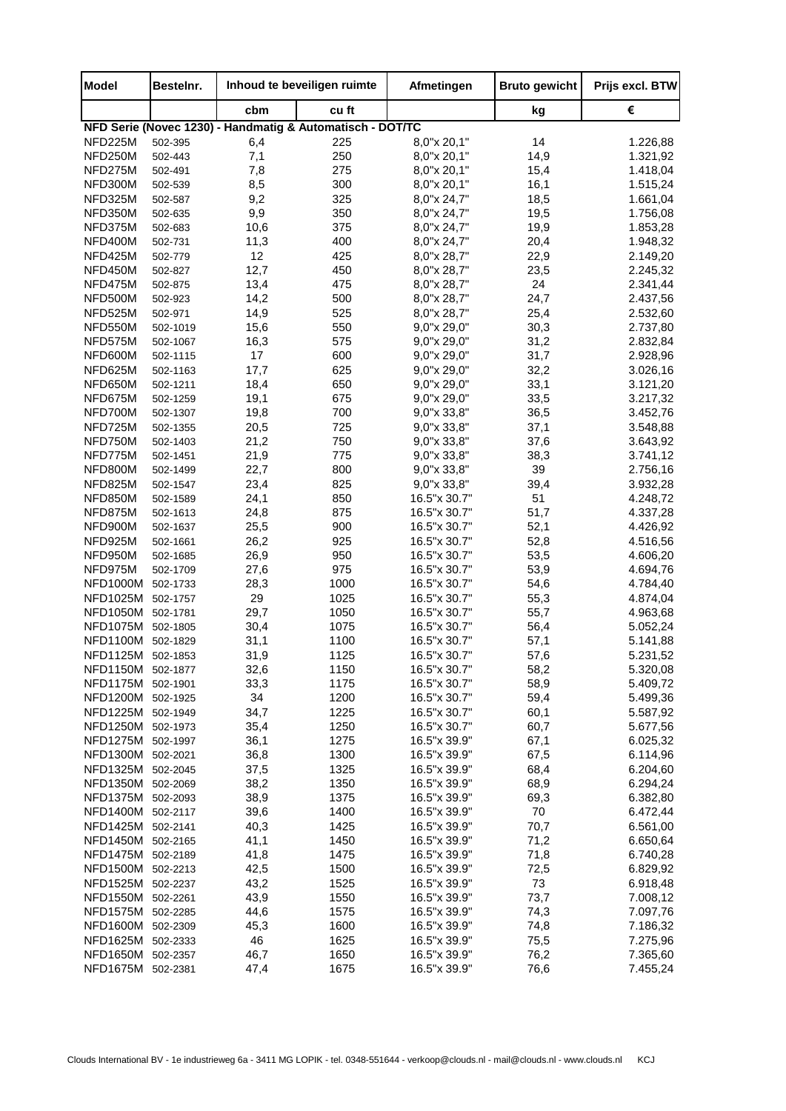| <b>Model</b>      | Bestelnr. | Inhoud te beveiligen ruimte |                                                           | Afmetingen   | <b>Bruto gewicht</b> | Prijs excl. BTW |
|-------------------|-----------|-----------------------------|-----------------------------------------------------------|--------------|----------------------|-----------------|
|                   |           | cbm                         | cu ft                                                     |              | kg                   | €               |
|                   |           |                             | NFD Serie (Novec 1230) - Handmatig & Automatisch - DOT/TC |              |                      |                 |
| NFD225M           | 502-395   | 6,4                         | 225                                                       | 8,0"x 20,1"  | 14                   | 1.226,88        |
| NFD250M           | 502-443   | 7,1                         | 250                                                       | 8,0"x 20,1"  | 14,9                 | 1.321,92        |
| NFD275M           | 502-491   | 7,8                         | 275                                                       | 8,0"x 20,1"  | 15,4                 | 1.418,04        |
| NFD300M           | 502-539   | 8,5                         | 300                                                       | 8,0"x 20,1"  | 16,1                 | 1.515,24        |
| NFD325M           | 502-587   | 9,2                         | 325                                                       | 8,0"x 24,7"  | 18,5                 | 1.661,04        |
| NFD350M           | 502-635   | 9,9                         | 350                                                       | 8,0"x 24,7"  | 19,5                 | 1.756,08        |
| NFD375M           | 502-683   | 10,6                        | 375                                                       | 8,0"x 24,7"  | 19,9                 | 1.853,28        |
| NFD400M           | 502-731   | 11,3                        | 400                                                       | 8,0"x 24,7"  | 20,4                 | 1.948,32        |
| NFD425M           | 502-779   | 12                          | 425                                                       | 8,0"x 28,7"  | 22,9                 | 2.149,20        |
| NFD450M           | 502-827   | 12,7                        | 450                                                       | 8,0"x 28,7"  | 23,5                 | 2.245,32        |
| NFD475M           | 502-875   | 13,4                        | 475                                                       | 8,0"x 28,7"  | 24                   | 2.341,44        |
| NFD500M           | 502-923   | 14,2                        | 500                                                       | 8,0"x 28,7"  | 24,7                 | 2.437,56        |
| NFD525M           | 502-971   | 14,9                        | 525                                                       | 8,0"x 28,7"  | 25,4                 | 2.532,60        |
| NFD550M           | 502-1019  | 15,6                        | 550                                                       | 9,0"x 29,0"  | 30,3                 | 2.737,80        |
| NFD575M           | 502-1067  | 16,3                        | 575                                                       | 9,0"x 29,0"  | 31,2                 | 2.832,84        |
| NFD600M           | 502-1115  | 17                          | 600                                                       | 9,0"x 29,0"  | 31,7                 | 2.928,96        |
| NFD625M           | 502-1163  | 17,7                        | 625                                                       | 9,0"x 29,0"  | 32,2                 | 3.026,16        |
| NFD650M           | 502-1211  | 18,4                        | 650                                                       | 9,0"x 29,0"  | 33,1                 | 3.121,20        |
| NFD675M           | 502-1259  | 19,1                        | 675                                                       | 9,0"x 29,0"  | 33,5                 | 3.217,32        |
| NFD700M           | 502-1307  | 19,8                        | 700                                                       | 9,0"x 33,8"  | 36,5                 | 3.452,76        |
| NFD725M           | 502-1355  | 20,5                        | 725                                                       | 9,0"x 33,8"  | 37,1                 | 3.548,88        |
| NFD750M           | 502-1403  | 21,2                        | 750                                                       | 9,0"x 33,8"  | 37,6                 | 3.643,92        |
| NFD775M           | 502-1451  | 21,9                        | 775                                                       | 9,0"x 33,8"  | 38,3                 | 3.741,12        |
| NFD800M           | 502-1499  | 22,7                        | 800                                                       | 9,0"x 33,8"  | 39                   | 2.756,16        |
| NFD825M           | 502-1547  | 23,4                        | 825                                                       | 9,0"x 33,8"  | 39,4                 | 3.932,28        |
| NFD850M           | 502-1589  | 24,1                        | 850                                                       | 16.5"x 30.7" | 51                   | 4.248,72        |
| NFD875M           | 502-1613  | 24,8                        | 875                                                       | 16.5"x 30.7" | 51,7                 | 4.337,28        |
| NFD900M           | 502-1637  | 25,5                        | 900                                                       | 16.5"x 30.7" | 52,1                 | 4.426,92        |
| NFD925M           | 502-1661  | 26,2                        | 925                                                       | 16.5"x 30.7" | 52,8                 | 4.516,56        |
| NFD950M           | 502-1685  | 26,9                        | 950                                                       | 16.5"x 30.7" | 53,5                 | 4.606,20        |
| NFD975M           | 502-1709  | 27,6                        | 975                                                       | 16.5"x 30.7" | 53,9                 | 4.694,76        |
| <b>NFD1000M</b>   | 502-1733  | 28,3                        | 1000                                                      | 16.5"x 30.7" | 54,6                 | 4.784,40        |
| <b>NFD1025M</b>   | 502-1757  | 29                          | 1025                                                      | 16.5"x 30.7" | 55,3                 | 4.874,04        |
| <b>NFD1050M</b>   | 502-1781  | 29,7                        | 1050                                                      | 16.5"x 30.7" | 55,7                 | 4.963,68        |
| <b>NFD1075M</b>   | 502-1805  | 30,4                        | 1075                                                      | 16.5"x 30.7" | 56,4                 | 5.052,24        |
| <b>NFD1100M</b>   | 502-1829  | 31,1                        | 1100                                                      | 16.5"x 30.7" | 57,1                 | 5.141,88        |
| <b>NFD1125M</b>   | 502-1853  | 31,9                        | 1125                                                      | 16.5"x 30.7" | 57,6                 | 5.231,52        |
| NFD1150M 502-1877 |           | 32,6                        | 1150                                                      | 16.5"x 30.7" | 58,2                 | 5.320,08        |
| <b>NFD1175M</b>   | 502-1901  | 33,3                        | 1175                                                      | 16.5"x 30.7" | 58,9                 | 5.409,72        |
| <b>NFD1200M</b>   | 502-1925  | 34                          | 1200                                                      | 16.5"x 30.7" | 59,4                 | 5.499,36        |
| <b>NFD1225M</b>   | 502-1949  | 34,7                        | 1225                                                      | 16.5"x 30.7" | 60,1                 | 5.587,92        |
| NFD1250M 502-1973 |           | 35,4                        | 1250                                                      | 16.5"x 30.7" | 60,7                 | 5.677,56        |
| NFD1275M          | 502-1997  | 36,1                        | 1275                                                      | 16.5"x 39.9" | 67,1                 | 6.025,32        |
| <b>NFD1300M</b>   | 502-2021  | 36,8                        | 1300                                                      | 16.5"x 39.9" | 67,5                 | 6.114,96        |
| <b>NFD1325M</b>   | 502-2045  | 37,5                        | 1325                                                      | 16.5"x 39.9" | 68,4                 | 6.204,60        |
| <b>NFD1350M</b>   | 502-2069  | 38,2                        | 1350                                                      | 16.5"x 39.9" | 68,9                 | 6.294,24        |
| <b>NFD1375M</b>   | 502-2093  | 38,9                        | 1375                                                      | 16.5"x 39.9" | 69,3                 | 6.382,80        |
| NFD1400M          | 502-2117  | 39,6                        | 1400                                                      | 16.5"x 39.9" | 70                   | 6.472,44        |
| <b>NFD1425M</b>   | 502-2141  | 40,3                        | 1425                                                      | 16.5"x 39.9" | 70,7                 | 6.561,00        |
| NFD1450M          | 502-2165  | 41,1                        | 1450                                                      | 16.5"x 39.9" | 71,2                 | 6.650,64        |
| <b>NFD1475M</b>   | 502-2189  | 41,8                        | 1475                                                      | 16.5"x 39.9" | 71,8                 | 6.740,28        |
| NFD1500M          | 502-2213  | 42,5                        | 1500                                                      | 16.5"x 39.9" | 72,5                 | 6.829,92        |
| NFD1525M          | 502-2237  | 43,2                        | 1525                                                      | 16.5"x 39.9" | 73                   | 6.918,48        |
| <b>NFD1550M</b>   | 502-2261  | 43,9                        | 1550                                                      | 16.5"x 39.9" | 73,7                 | 7.008,12        |
| <b>NFD1575M</b>   | 502-2285  | 44,6                        | 1575                                                      | 16.5"x 39.9" | 74,3                 | 7.097,76        |
| <b>NFD1600M</b>   | 502-2309  | 45,3                        | 1600                                                      | 16.5"x 39.9" | 74,8                 | 7.186,32        |
| <b>NFD1625M</b>   | 502-2333  | 46                          | 1625                                                      | 16.5"x 39.9" | 75,5                 | 7.275,96        |
| <b>NFD1650M</b>   | 502-2357  | 46,7                        | 1650                                                      | 16.5"x 39.9" | 76,2                 | 7.365,60        |
| NFD1675M          | 502-2381  | 47,4                        | 1675                                                      | 16.5"x 39.9" | 76,6                 | 7.455,24        |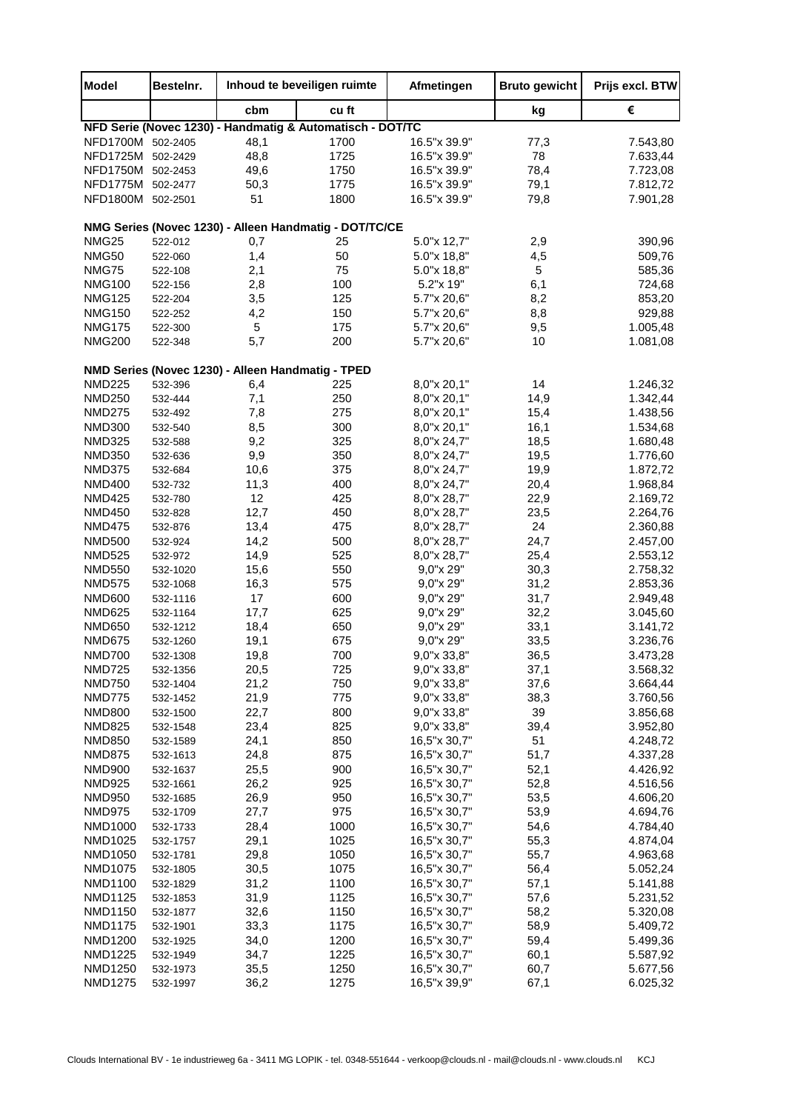| <b>Model</b>                   | Bestelnr.            |                                                   | Inhoud te beveiligen ruimte                               | Afmetingen                   | <b>Bruto gewicht</b> | Prijs excl. BTW      |
|--------------------------------|----------------------|---------------------------------------------------|-----------------------------------------------------------|------------------------------|----------------------|----------------------|
|                                |                      | cbm                                               | cu ft                                                     |                              | kg                   | €                    |
|                                |                      |                                                   | NFD Serie (Novec 1230) - Handmatig & Automatisch - DOT/TC |                              |                      |                      |
| NFD1700M                       | 502-2405             | 48,1                                              | 1700                                                      | 16.5"x 39.9"                 | 77,3                 | 7.543,80             |
| NFD1725M 502-2429              |                      | 48,8                                              | 1725                                                      | 16.5"x 39.9"                 | 78                   | 7.633,44             |
| NFD1750M                       | 502-2453             | 49,6                                              | 1750                                                      | 16.5"x 39.9"                 | 78,4                 | 7.723,08             |
| NFD1775M 502-2477              |                      | 50,3                                              | 1775                                                      | 16.5"x 39.9"                 | 79,1                 | 7.812,72             |
| <b>NFD1800M</b>                | 502-2501             | 51                                                | 1800                                                      | 16.5"x 39.9"                 | 79,8                 | 7.901,28             |
|                                |                      |                                                   | NMG Series (Novec 1230) - Alleen Handmatig - DOT/TC/CE    |                              |                      |                      |
| <b>NMG25</b>                   | 522-012              | 0,7                                               | 25                                                        | 5.0"x 12,7"                  | 2,9                  | 390,96               |
| NMG50                          | 522-060              | 1,4                                               | 50                                                        | 5.0"x 18,8"                  | 4,5                  | 509,76               |
| NMG75                          | 522-108              | 2,1                                               | 75                                                        | 5.0"x 18,8"                  | 5                    | 585,36               |
| <b>NMG100</b>                  | 522-156              | 2,8                                               | 100                                                       | 5.2"x 19"                    | 6,1                  | 724,68               |
| <b>NMG125</b>                  | 522-204              | 3,5                                               | 125                                                       | 5.7"x 20,6"                  | 8,2                  | 853,20               |
| <b>NMG150</b>                  | 522-252              | 4,2                                               | 150                                                       | 5.7"x 20,6"                  | 8,8                  | 929,88               |
| <b>NMG175</b>                  | 522-300              | 5                                                 | 175                                                       | 5.7"x 20,6"                  | 9,5                  | 1.005,48             |
| <b>NMG200</b>                  | 522-348              | 5,7                                               | 200                                                       | 5.7"x 20,6"                  | 10                   | 1.081,08             |
|                                |                      | NMD Series (Novec 1230) - Alleen Handmatig - TPED |                                                           |                              |                      |                      |
| <b>NMD225</b>                  | 532-396              | 6,4                                               | 225                                                       | 8,0"x 20,1"                  | 14                   | 1.246,32             |
| <b>NMD250</b>                  | 532-444              | 7,1                                               | 250                                                       | 8,0"x 20,1"                  | 14,9                 | 1.342,44             |
| <b>NMD275</b>                  | 532-492              | 7,8                                               | 275                                                       | 8,0"x 20,1"                  | 15,4                 | 1.438,56             |
| <b>NMD300</b>                  | 532-540              | 8,5                                               | 300                                                       | 8,0"x 20,1"                  | 16,1                 | 1.534,68             |
| <b>NMD325</b>                  | 532-588              | 9,2                                               | 325                                                       | 8,0"x 24,7"                  | 18,5                 | 1.680,48             |
| <b>NMD350</b>                  | 532-636              | 9,9                                               | 350                                                       | 8,0"x 24,7"                  | 19,5                 | 1.776,60             |
| <b>NMD375</b>                  | 532-684              | 10,6                                              | 375                                                       | 8,0"x 24,7"                  | 19,9                 | 1.872,72             |
| <b>NMD400</b>                  | 532-732              | 11,3                                              | 400                                                       | 8,0"x 24,7"                  | 20,4                 | 1.968,84             |
| <b>NMD425</b>                  | 532-780              | 12                                                | 425                                                       | 8,0"x 28,7"                  | 22,9                 | 2.169,72             |
| <b>NMD450</b>                  | 532-828              | 12,7                                              | 450                                                       | 8,0"x 28,7"                  | 23,5                 | 2.264,76             |
| <b>NMD475</b><br><b>NMD500</b> | 532-876<br>532-924   | 13,4<br>14,2                                      | 475<br>500                                                | 8,0"x 28,7"<br>8,0"x 28,7"   | 24<br>24,7           | 2.360,88<br>2.457,00 |
| <b>NMD525</b>                  | 532-972              | 14,9                                              | 525                                                       | 8,0"x 28,7"                  | 25,4                 | 2.553,12             |
| <b>NMD550</b>                  | 532-1020             | 15,6                                              | 550                                                       | 9,0"x 29"                    | 30,3                 | 2.758,32             |
| <b>NMD575</b>                  | 532-1068             | 16,3                                              | 575                                                       | 9,0"x 29"                    | 31,2                 | 2.853,36             |
| <b>NMD600</b>                  | 532-1116             | 17                                                | 600                                                       | 9,0"x 29"                    | 31,7                 | 2.949,48             |
| <b>NMD625</b>                  | 532-1164             | 17,7                                              | 625                                                       | 9,0"x 29"                    | 32,2                 | 3.045,60             |
| <b>NMD650</b>                  | 532-1212             | 18,4                                              | 650                                                       | 9,0"x 29"                    | 33,1                 | 3.141,72             |
| <b>NMD675</b>                  | 532-1260             | 19,1                                              | 675                                                       | 9,0"x 29"                    | 33,5                 | 3.236,76             |
| <b>NMD700</b>                  | 532-1308             | 19,8                                              | 700                                                       | 9,0"x 33,8"                  | 36,5                 | 3.473,28             |
| <b>NMD725</b>                  | 532-1356             | 20,5                                              | 725                                                       | 9,0"x 33,8"                  | 37,1                 | 3.568,32             |
| <b>NMD750</b>                  | 532-1404             | 21,2                                              | 750                                                       | 9,0"x 33,8"                  | 37,6                 | 3.664,44             |
| <b>NMD775</b>                  | 532-1452             | 21,9                                              | 775                                                       | 9,0"x 33,8"                  | 38,3                 | 3.760,56             |
| <b>NMD800</b>                  | 532-1500             | 22,7                                              | 800                                                       | 9,0"x 33,8"                  | 39                   | 3.856,68             |
| <b>NMD825</b>                  | 532-1548             | 23,4                                              | 825                                                       | 9,0"x 33,8"                  | 39,4                 | 3.952,80             |
| <b>NMD850</b>                  | 532-1589             | 24,1                                              | 850                                                       | 16,5"x 30,7"                 | 51                   | 4.248,72             |
| <b>NMD875</b>                  | 532-1613             | 24,8                                              | 875                                                       | 16,5"x 30,7"                 | 51,7                 | 4.337,28             |
| <b>NMD900</b>                  | 532-1637             | 25,5                                              | 900                                                       | 16,5"x 30,7"                 | 52,1                 | 4.426,92             |
| <b>NMD925</b>                  | 532-1661             | 26,2                                              | 925                                                       | 16,5"x 30,7"                 | 52,8                 | 4.516,56             |
| <b>NMD950</b>                  | 532-1685             | 26,9                                              | 950                                                       | 16,5"x 30,7"                 | 53,5                 | 4.606,20             |
| <b>NMD975</b>                  | 532-1709             | 27,7                                              | 975                                                       | 16,5"x 30,7"                 | 53,9                 | 4.694,76             |
| NMD1000                        | 532-1733             | 28,4                                              | 1000                                                      | 16,5"x 30,7"                 | 54,6                 | 4.784,40             |
| NMD1025                        | 532-1757             | 29,1                                              | 1025                                                      | 16,5"x 30,7"                 | 55,3                 | 4.874,04             |
| NMD1050                        | 532-1781             | 29,8                                              | 1050                                                      | 16,5"x 30,7"<br>16,5"x 30,7" | 55,7                 | 4.963,68             |
| NMD1075                        | 532-1805             | 30,5                                              | 1075                                                      | 16,5"x 30,7"                 | 56,4                 | 5.052,24             |
| NMD1100                        | 532-1829             | 31,2                                              | 1100                                                      |                              | 57,1                 | 5.141,88             |
| NMD1125<br>NMD1150             | 532-1853             | 31,9                                              | 1125<br>1150                                              | 16,5"x 30,7"<br>16,5"x 30,7" | 57,6<br>58,2         | 5.231,52             |
| <b>NMD1175</b>                 | 532-1877<br>532-1901 | 32,6<br>33,3                                      | 1175                                                      | 16,5"x 30,7"                 | 58,9                 | 5.320,08<br>5.409,72 |
| <b>NMD1200</b>                 | 532-1925             | 34,0                                              | 1200                                                      | 16,5"x 30,7"                 | 59,4                 | 5.499,36             |
| <b>NMD1225</b>                 | 532-1949             | 34,7                                              | 1225                                                      | 16,5"x 30,7"                 | 60,1                 | 5.587,92             |
| <b>NMD1250</b>                 | 532-1973             | 35,5                                              | 1250                                                      | 16,5"x 30,7"                 | 60,7                 | 5.677,56             |
| <b>NMD1275</b>                 | 532-1997             | 36,2                                              | 1275                                                      | 16,5"x 39,9"                 | 67,1                 | 6.025,32             |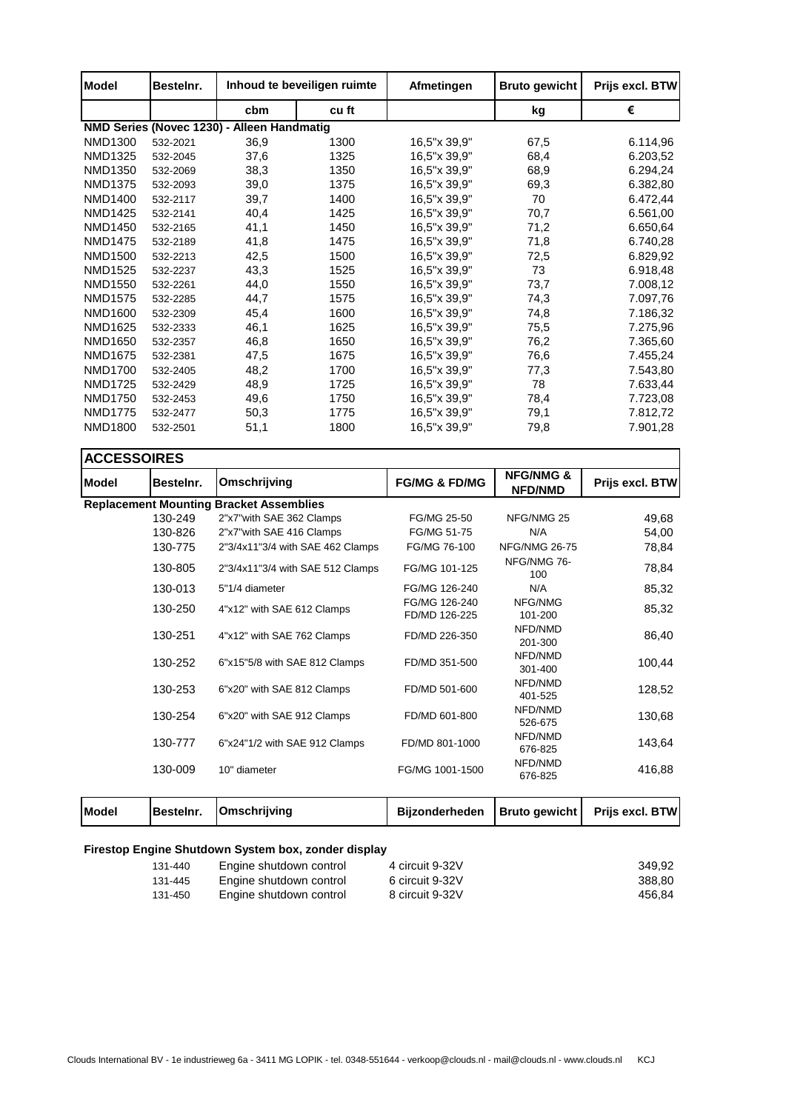| <b>Model</b>   | Bestelnr. |                                            | Inhoud te beveiligen ruimte | Afmetingen   | <b>Bruto gewicht</b> | Prijs excl. BTW |
|----------------|-----------|--------------------------------------------|-----------------------------|--------------|----------------------|-----------------|
|                |           | cbm                                        | cu ft                       |              | kg                   | €               |
|                |           | NMD Series (Novec 1230) - Alleen Handmatig |                             |              |                      |                 |
| <b>NMD1300</b> | 532-2021  | 36,9                                       | 1300                        | 16,5"x 39,9" | 67,5                 | 6.114,96        |
| NMD1325        | 532-2045  | 37,6                                       | 1325                        | 16,5"x 39,9" | 68,4                 | 6.203,52        |
| NMD1350        | 532-2069  | 38,3                                       | 1350                        | 16,5"x 39,9" | 68,9                 | 6.294,24        |
| <b>NMD1375</b> | 532-2093  | 39,0                                       | 1375                        | 16.5"x 39.9" | 69,3                 | 6.382,80        |
| <b>NMD1400</b> | 532-2117  | 39,7                                       | 1400                        | 16,5"x 39,9" | 70                   | 6.472,44        |
| <b>NMD1425</b> | 532-2141  | 40,4                                       | 1425                        | 16,5"x 39,9" | 70,7                 | 6.561,00        |
| <b>NMD1450</b> | 532-2165  | 41,1                                       | 1450                        | 16,5"x 39,9" | 71,2                 | 6.650,64        |
| <b>NMD1475</b> | 532-2189  | 41,8                                       | 1475                        | 16.5"x 39.9" | 71,8                 | 6.740,28        |
| <b>NMD1500</b> | 532-2213  | 42,5                                       | 1500                        | 16,5"x 39,9" | 72,5                 | 6.829,92        |
| <b>NMD1525</b> | 532-2237  | 43,3                                       | 1525                        | 16,5"x 39,9" | 73                   | 6.918,48        |
| NMD1550        | 532-2261  | 44,0                                       | 1550                        | 16,5"x 39,9" | 73,7                 | 7.008,12        |
| <b>NMD1575</b> | 532-2285  | 44,7                                       | 1575                        | 16,5"x 39,9" | 74,3                 | 7.097,76        |
| NMD1600        | 532-2309  | 45,4                                       | 1600                        | 16,5"x 39,9" | 74,8                 | 7.186,32        |
| <b>NMD1625</b> | 532-2333  | 46,1                                       | 1625                        | 16,5"x 39,9" | 75,5                 | 7.275,96        |
| NMD1650        | 532-2357  | 46,8                                       | 1650                        | 16,5"x 39,9" | 76,2                 | 7.365,60        |
| <b>NMD1675</b> | 532-2381  | 47,5                                       | 1675                        | 16,5"x 39,9" | 76,6                 | 7.455,24        |
| <b>NMD1700</b> | 532-2405  | 48,2                                       | 1700                        | 16,5"x 39,9" | 77,3                 | 7.543,80        |
| <b>NMD1725</b> | 532-2429  | 48,9                                       | 1725                        | 16,5"x 39,9" | 78                   | 7.633,44        |
| <b>NMD1750</b> | 532-2453  | 49,6                                       | 1750                        | 16,5"x 39,9" | 78,4                 | 7.723,08        |
| <b>NMD1775</b> | 532-2477  | 50,3                                       | 1775                        | 16,5"x 39,9" | 79,1                 | 7.812,72        |
| <b>NMD1800</b> | 532-2501  | 51,1                                       | 1800                        | 16,5"x 39,9" | 79,8                 | 7.901,28        |

|              | <b>ACCESSOIRES</b> |                                                |                                |                                        |                 |  |  |
|--------------|--------------------|------------------------------------------------|--------------------------------|----------------------------------------|-----------------|--|--|
| <b>Model</b> | Besteinr.          | Omschrijving                                   | <b>FG/MG &amp; FD/MG</b>       | <b>NFG/NMG &amp;</b><br><b>NFD/NMD</b> | Prijs excl. BTW |  |  |
|              |                    | <b>Replacement Mounting Bracket Assemblies</b> |                                |                                        |                 |  |  |
|              | 130-249            | 2"x7"with SAE 362 Clamps                       | FG/MG 25-50                    | NFG/NMG 25                             | 49,68           |  |  |
|              | 130-826            | 2"x7" with SAE 416 Clamps                      | FG/MG 51-75                    | N/A                                    | 54,00           |  |  |
|              | 130-775            | 2"3/4x11"3/4 with SAE 462 Clamps               | FG/MG 76-100                   | <b>NFG/NMG 26-75</b>                   | 78,84           |  |  |
|              | 130-805            | 2"3/4x11"3/4 with SAE 512 Clamps               | FG/MG 101-125                  | NFG/NMG 76-<br>100                     | 78,84           |  |  |
|              | 130-013            | 5"1/4 diameter                                 | FG/MG 126-240                  | N/A                                    | 85,32           |  |  |
|              | 130-250            | 4"x12" with SAE 612 Clamps                     | FG/MG 126-240<br>FD/MD 126-225 | NFG/NMG<br>101-200                     | 85,32           |  |  |
|              | 130-251            | 4"x12" with SAE 762 Clamps                     | FD/MD 226-350                  | NFD/NMD<br>201-300                     | 86,40           |  |  |
|              | 130-252            | 6"x15"5/8 with SAE 812 Clamps                  | FD/MD 351-500                  | NFD/NMD<br>301-400                     | 100,44          |  |  |
|              | 130-253            | 6"x20" with SAE 812 Clamps                     | FD/MD 501-600                  | NFD/NMD<br>401-525                     | 128,52          |  |  |
|              | 130-254            | 6"x20" with SAE 912 Clamps                     | FD/MD 601-800                  | NFD/NMD<br>526-675                     | 130,68          |  |  |
|              | 130-777            | 6"x24"1/2 with SAE 912 Clamps                  | FD/MD 801-1000                 | NFD/NMD<br>676-825                     | 143,64          |  |  |
|              | 130-009            | 10" diameter                                   | FG/MG 1001-1500                | NFD/NMD<br>676-825                     | 416,88          |  |  |
|              |                    |                                                |                                |                                        |                 |  |  |

٦

**Model** Bestelnr. Omschrijving **Bijzonderheden** Bruto gewicht Prijs excl. BTW

## **Firestop Engine Shutdown System box, zonder display**

**Omschrijving**

| 131-440 | Engine shutdown control | 4 circuit 9-32V | 349.92 |
|---------|-------------------------|-----------------|--------|
| 131-445 | Engine shutdown control | 6 circuit 9-32V | 388.80 |
| 131-450 | Engine shutdown control | 8 circuit 9-32V | 456.84 |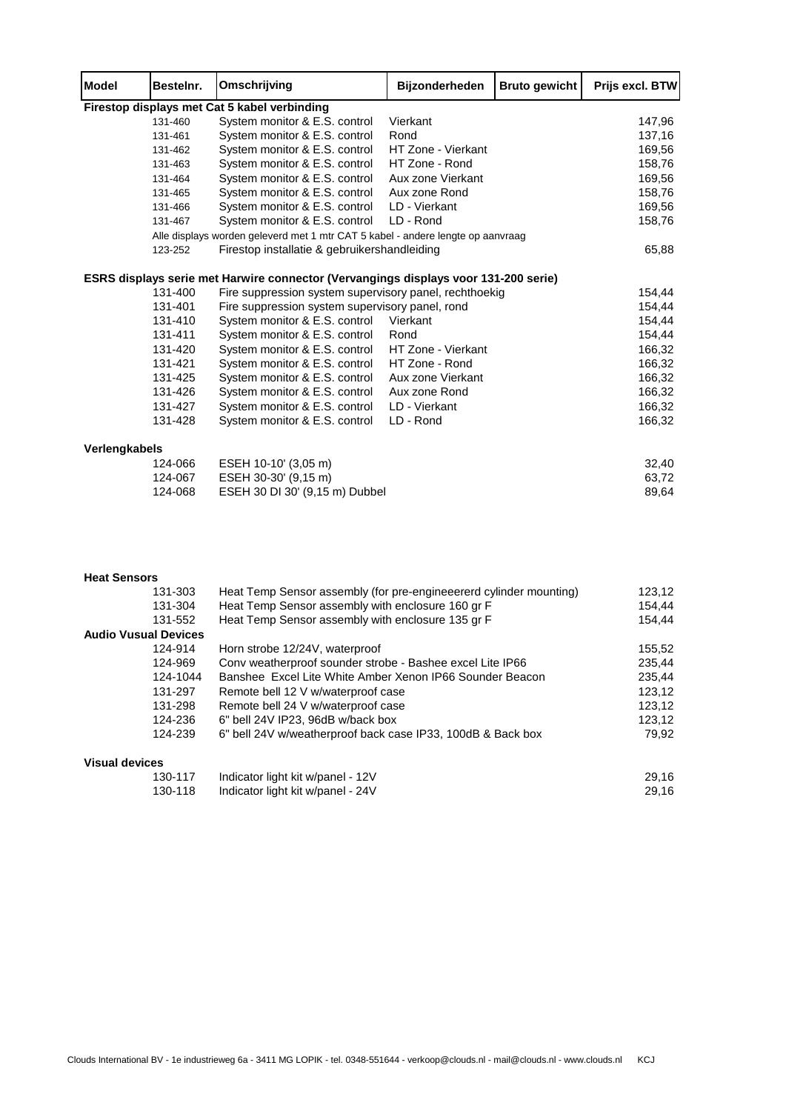| <b>Model</b>  | Besteinr. | Omschrijving                                                                        | <b>Bijzonderheden</b> | <b>Bruto gewicht</b> | Prijs excl. BTW |
|---------------|-----------|-------------------------------------------------------------------------------------|-----------------------|----------------------|-----------------|
|               |           | Firestop displays met Cat 5 kabel verbinding                                        |                       |                      |                 |
|               | 131-460   | System monitor & E.S. control                                                       | Vierkant              |                      | 147,96          |
|               | 131-461   | System monitor & E.S. control                                                       | Rond                  |                      | 137,16          |
|               | 131-462   | System monitor & E.S. control                                                       | HT Zone - Vierkant    |                      | 169,56          |
|               | 131-463   | System monitor & E.S. control                                                       | HT Zone - Rond        |                      | 158,76          |
|               | 131-464   | System monitor & E.S. control                                                       | Aux zone Vierkant     |                      | 169,56          |
|               | 131-465   | System monitor & E.S. control                                                       | Aux zone Rond         |                      | 158,76          |
|               | 131-466   | System monitor & E.S. control                                                       | LD - Vierkant         |                      | 169,56          |
|               | 131-467   | System monitor & E.S. control                                                       | LD - Rond             |                      | 158,76          |
|               |           | Alle displays worden geleverd met 1 mtr CAT 5 kabel - andere lengte op aanvraag     |                       |                      |                 |
|               | 123-252   | Firestop installatie & gebruikershandleiding                                        |                       |                      | 65,88           |
|               |           | ESRS displays serie met Harwire connector (Vervangings displays voor 131-200 serie) |                       |                      |                 |
|               | 131-400   | Fire suppression system supervisory panel, rechthoekig                              |                       |                      | 154,44          |
|               | 131-401   | Fire suppression system supervisory panel, rond                                     |                       |                      | 154,44          |
|               | 131-410   | System monitor & E.S. control                                                       | Vierkant              |                      | 154,44          |
|               | 131-411   | System monitor & E.S. control                                                       | Rond                  |                      | 154,44          |
|               | 131-420   | System monitor & E.S. control                                                       | HT Zone - Vierkant    |                      | 166,32          |
|               | 131-421   | System monitor & E.S. control                                                       | HT Zone - Rond        |                      | 166,32          |
|               | 131-425   | System monitor & E.S. control                                                       | Aux zone Vierkant     |                      | 166,32          |
|               | 131-426   | System monitor & E.S. control                                                       | Aux zone Rond         |                      | 166,32          |
|               | 131-427   | System monitor & E.S. control                                                       | LD - Vierkant         |                      | 166,32          |
|               | 131-428   | System monitor & E.S. control                                                       | LD - Rond             |                      | 166,32          |
| Verlengkabels |           |                                                                                     |                       |                      |                 |
|               | 124-066   | ESEH 10-10' (3,05 m)                                                                |                       |                      | 32,40           |
|               | 124-067   | ESEH 30-30' (9,15 m)                                                                |                       |                      | 63,72           |
|               | 124-068   | ESEH 30 DI 30' (9,15 m) Dubbel                                                      |                       |                      | 89,64           |
|               |           |                                                                                     |                       |                      |                 |

┱

Т

T

## **Heat Sensors**

r

┑

| 131-303                     | Heat Temp Sensor assembly (for pre-engineeererd cylinder mounting) | 123,12 |
|-----------------------------|--------------------------------------------------------------------|--------|
| 131-304                     | Heat Temp Sensor assembly with enclosure 160 gr F                  | 154,44 |
| 131-552                     | Heat Temp Sensor assembly with enclosure 135 gr F                  | 154,44 |
| <b>Audio Vusual Devices</b> |                                                                    |        |
| 124-914                     | Horn strobe 12/24V, waterproof                                     | 155,52 |
| 124-969                     | Conv weatherproof sounder strobe - Bashee excel Lite IP66          | 235,44 |
| 124-1044                    | Banshee Excel Lite White Amber Xenon IP66 Sounder Beacon           | 235,44 |
| 131-297                     | Remote bell 12 V w/waterproof case                                 | 123,12 |
| 131-298                     | Remote bell 24 V w/waterproof case                                 | 123.12 |
| 124-236                     | 6" bell 24V IP23, 96dB w/back box                                  | 123,12 |
| 124-239                     | 6" bell 24V w/weatherproof back case IP33, 100dB & Back box        | 79.92  |
| <b>Visual devices</b>       |                                                                    |        |
| 120.117                     | $Indipator$ light $kit$ $wbn$                                      | 20.1G  |

| 130-117 | Indicator light kit w/panel - 12V | 29.16 |
|---------|-----------------------------------|-------|
| 130-118 | Indicator light kit w/panel - 24V | 29,16 |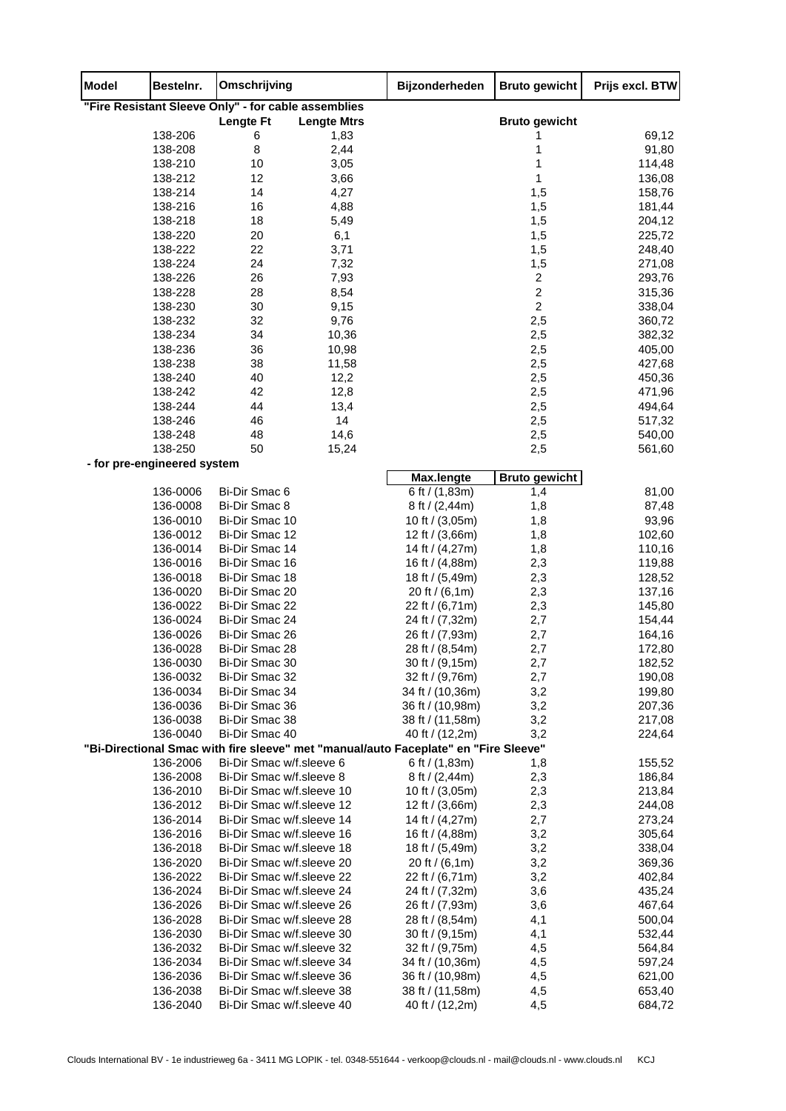| <b>Model</b> | Bestelnr.                              | Omschrijving                                           |                    | Bijzonderheden                                                                      | <b>Bruto gewicht</b> | Prijs excl. BTW  |
|--------------|----------------------------------------|--------------------------------------------------------|--------------------|-------------------------------------------------------------------------------------|----------------------|------------------|
|              |                                        | "Fire Resistant Sleeve Only" - for cable assemblies    |                    |                                                                                     |                      |                  |
|              |                                        | <b>Lengte Ft</b>                                       | <b>Lengte Mtrs</b> |                                                                                     | <b>Bruto gewicht</b> |                  |
|              | 138-206                                | 6                                                      | 1,83               |                                                                                     |                      | 69,12            |
|              | 138-208                                | 8                                                      | 2,44               |                                                                                     | 1                    | 91,80            |
|              | 138-210                                | 10<br>12                                               | 3,05               |                                                                                     | 1<br>1               | 114,48           |
|              | 138-212<br>138-214                     | 14                                                     | 3,66<br>4,27       |                                                                                     | 1,5                  | 136,08<br>158,76 |
|              | 138-216                                | 16                                                     | 4,88               |                                                                                     | 1,5                  | 181,44           |
|              | 138-218                                | 18                                                     | 5,49               |                                                                                     | 1,5                  | 204,12           |
|              | 138-220                                | 20                                                     | 6,1                |                                                                                     | 1,5                  | 225,72           |
|              | 138-222                                | 22                                                     | 3,71               |                                                                                     | 1,5                  | 248,40           |
|              | 138-224                                | 24                                                     | 7,32               |                                                                                     | 1,5                  | 271,08           |
|              | 138-226                                | 26                                                     | 7,93               |                                                                                     | $\boldsymbol{2}$     | 293,76           |
|              | 138-228                                | 28                                                     | 8,54               |                                                                                     | $\boldsymbol{2}$     | 315,36           |
|              | 138-230                                | 30                                                     | 9,15               |                                                                                     | $\boldsymbol{2}$     | 338,04           |
|              | 138-232                                | 32                                                     | 9,76               |                                                                                     | 2,5                  | 360,72           |
|              | 138-234                                | 34                                                     | 10,36              |                                                                                     | 2,5                  | 382,32           |
|              | 138-236                                | 36                                                     | 10,98              |                                                                                     | 2,5                  | 405,00           |
|              | 138-238                                | 38                                                     | 11,58              |                                                                                     | 2,5                  | 427,68           |
|              | 138-240                                | 40                                                     | 12,2               |                                                                                     | 2,5                  | 450,36           |
|              | 138-242                                | 42                                                     | 12,8               |                                                                                     | 2,5                  | 471,96           |
|              | 138-244                                | 44                                                     | 13,4               |                                                                                     | 2,5                  | 494,64           |
|              | 138-246                                | 46                                                     | 14                 |                                                                                     | 2,5                  | 517,32           |
|              | 138-248                                | 48                                                     | 14,6               |                                                                                     | 2,5                  | 540,00           |
|              | 138-250<br>- for pre-engineered system | 50                                                     | 15,24              |                                                                                     | 2,5                  | 561,60           |
|              |                                        |                                                        |                    | Max.lengte                                                                          | <b>Bruto gewicht</b> |                  |
|              | 136-0006                               | Bi-Dir Smac 6                                          |                    | 6 ft $/$ (1,83m)                                                                    | 1,4                  | 81,00            |
|              | 136-0008                               | Bi-Dir Smac 8                                          |                    | 8 ft / $(2,44m)$                                                                    | 1,8                  | 87,48            |
|              | 136-0010                               | Bi-Dir Smac 10                                         |                    | 10 ft / (3,05m)                                                                     | 1,8                  | 93,96            |
|              | 136-0012                               | Bi-Dir Smac 12                                         |                    | 12 ft / (3,66m)                                                                     | 1,8                  | 102,60           |
|              | 136-0014                               | Bi-Dir Smac 14                                         |                    | 14 ft / (4,27m)                                                                     | 1,8                  | 110,16           |
|              | 136-0016                               | Bi-Dir Smac 16                                         |                    | 16 ft / (4,88m)                                                                     | 2,3                  | 119,88           |
|              | 136-0018                               | Bi-Dir Smac 18                                         |                    | 18 ft / (5,49m)                                                                     | 2,3                  | 128,52           |
|              | 136-0020                               | Bi-Dir Smac 20                                         |                    | 20 ft / $(6,1m)$                                                                    | 2,3                  | 137,16           |
|              | 136-0022                               | Bi-Dir Smac 22                                         |                    | 22 ft / (6,71m)                                                                     | 2,3                  | 145,80           |
|              | 136-0024                               | Bi-Dir Smac 24                                         |                    | 24 ft / (7,32m)                                                                     | 2,7                  | 154,44           |
|              | 136-0026                               | Bi-Dir Smac 26                                         |                    | 26 ft / (7,93m)                                                                     | 2,7                  | 164,16           |
|              | 136-0028                               | Bi-Dir Smac 28<br>Bi-Dir Smac 30                       |                    | 28 ft / (8,54m)<br>30 ft / (9,15m)                                                  | 2,7                  | 172,80           |
|              | 136-0030<br>136-0032                   | Bi-Dir Smac 32                                         |                    | 32 ft / (9,76m)                                                                     | 2,7<br>2,7           | 182,52<br>190,08 |
|              | 136-0034                               | Bi-Dir Smac 34                                         |                    | 34 ft / (10,36m)                                                                    | 3,2                  | 199,80           |
|              | 136-0036                               | Bi-Dir Smac 36                                         |                    | 36 ft / (10,98m)                                                                    | 3,2                  | 207,36           |
|              | 136-0038                               | Bi-Dir Smac 38                                         |                    | 38 ft / (11,58m)                                                                    | 3,2                  | 217,08           |
|              | 136-0040                               | Bi-Dir Smac 40                                         |                    | 40 ft / (12,2m)                                                                     | 3,2                  | 224,64           |
|              |                                        |                                                        |                    | "Bi-Directional Smac with fire sleeve" met "manual/auto Faceplate" en "Fire Sleeve" |                      |                  |
|              | 136-2006                               | Bi-Dir Smac w/f.sleeve 6                               |                    | 6 ft $/$ (1,83m)                                                                    | 1,8                  | 155,52           |
|              | 136-2008                               | Bi-Dir Smac w/f.sleeve 8                               |                    | 8 ft / $(2,44m)$                                                                    | 2,3                  | 186,84           |
|              | 136-2010                               | Bi-Dir Smac w/f.sleeve 10                              |                    | 10 ft / $(3,05m)$                                                                   | 2,3                  | 213,84           |
|              | 136-2012                               | Bi-Dir Smac w/f.sleeve 12                              |                    | 12 ft / (3,66m)                                                                     | 2,3                  | 244,08           |
|              | 136-2014                               | Bi-Dir Smac w/f.sleeve 14                              |                    | 14 ft / (4,27m)                                                                     | 2,7                  | 273,24           |
|              | 136-2016                               | Bi-Dir Smac w/f.sleeve 16                              |                    | 16 ft / (4,88m)                                                                     | 3,2                  | 305,64           |
|              | 136-2018                               | Bi-Dir Smac w/f.sleeve 18                              |                    | 18 ft / (5,49m)                                                                     | 3,2                  | 338,04           |
|              | 136-2020                               | Bi-Dir Smac w/f.sleeve 20                              |                    | 20 ft / (6,1m)                                                                      | 3,2                  | 369,36           |
|              | 136-2022                               | Bi-Dir Smac w/f.sleeve 22                              |                    | 22 ft / (6,71m)                                                                     | 3,2                  | 402,84           |
|              | 136-2024                               | Bi-Dir Smac w/f.sleeve 24                              |                    | 24 ft / (7,32m)                                                                     | 3,6                  | 435,24           |
|              | 136-2026                               | Bi-Dir Smac w/f.sleeve 26<br>Bi-Dir Smac w/f.sleeve 28 |                    | 26 ft / (7,93m)                                                                     | 3,6                  | 467,64           |
|              | 136-2028                               |                                                        |                    | 28 ft / (8,54m)                                                                     | 4,1                  | 500,04           |
|              | 136-2030<br>136-2032                   | Bi-Dir Smac w/f.sleeve 30<br>Bi-Dir Smac w/f.sleeve 32 |                    | 30 ft / (9,15m)                                                                     | 4,1<br>4,5           | 532,44           |
|              | 136-2034                               | Bi-Dir Smac w/f.sleeve 34                              |                    | 32 ft / (9,75m)<br>34 ft / (10,36m)                                                 | 4,5                  | 564,84<br>597,24 |
|              | 136-2036                               | Bi-Dir Smac w/f.sleeve 36                              |                    | 36 ft / (10,98m)                                                                    | 4,5                  | 621,00           |
|              | 136-2038                               | Bi-Dir Smac w/f.sleeve 38                              |                    | 38 ft / (11,58m)                                                                    | 4,5                  | 653,40           |
|              | 136-2040                               | Bi-Dir Smac w/f.sleeve 40                              |                    | 40 ft / (12,2m)                                                                     | 4,5                  | 684,72           |